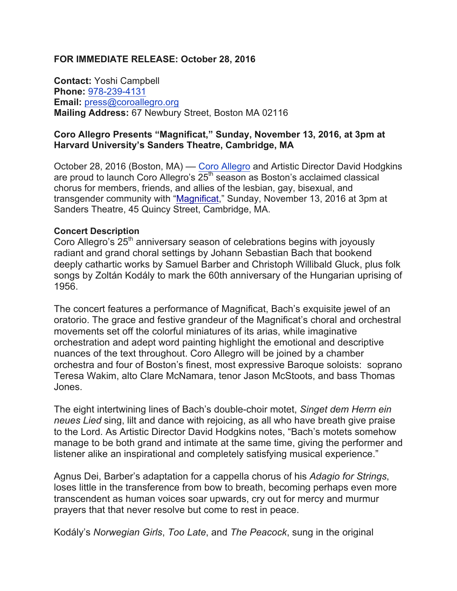### **FOR IMMEDIATE RELEASE: October 28, 2016**

**Contact:** Yoshi Campbell **Phone:** 978-239-4131 **Email:** press@coroallegro.org **Mailing Address:** 67 Newbury Street, Boston MA 02116

#### **Coro Allegro Presents "Magnificat," Sunday, November 13, 2016, at 3pm at Harvard University's Sanders Theatre, Cambridge, MA**

October 28, 2016 (Boston, MA) –– Coro Allegro and Artistic Director David Hodgkins are proud to launch Coro Allegro's  $25<sup>th</sup>$  season as Boston's acclaimed classical chorus for members, friends, and allies of the lesbian, gay, bisexual, and transgender community with "Magnificat," Sunday, November 13, 2016 at 3pm at Sanders Theatre, 45 Quincy Street, Cambridge, MA.

#### **Concert Description**

Coro Allegro's  $25<sup>th</sup>$  anniversary season of celebrations begins with joyously radiant and grand choral settings by Johann Sebastian Bach that bookend deeply cathartic works by Samuel Barber and Christoph Willibald Gluck, plus folk songs by Zoltán Kodály to mark the 60th anniversary of the Hungarian uprising of 1956.

The concert features a performance of Magnificat, Bach's exquisite jewel of an oratorio. The grace and festive grandeur of the Magnificat's choral and orchestral movements set off the colorful miniatures of its arias, while imaginative orchestration and adept word painting highlight the emotional and descriptive nuances of the text throughout. Coro Allegro will be joined by a chamber orchestra and four of Boston's finest, most expressive Baroque soloists: soprano Teresa Wakim, alto Clare McNamara, tenor Jason McStoots, and bass Thomas Jones.

The eight intertwining lines of Bach's double-choir motet, *Singet dem Herrn ein neues Lied* sing, lilt and dance with rejoicing, as all who have breath give praise to the Lord. As Artistic Director David Hodgkins notes, "Bach's motets somehow manage to be both grand and intimate at the same time, giving the performer and listener alike an inspirational and completely satisfying musical experience."

Agnus Dei, Barber's adaptation for a cappella chorus of his *Adagio for Strings*, loses little in the transference from bow to breath, becoming perhaps even more transcendent as human voices soar upwards, cry out for mercy and murmur prayers that that never resolve but come to rest in peace.

Kodály's *Norwegian Girls*, *Too Late*, and *The Peacock*, sung in the original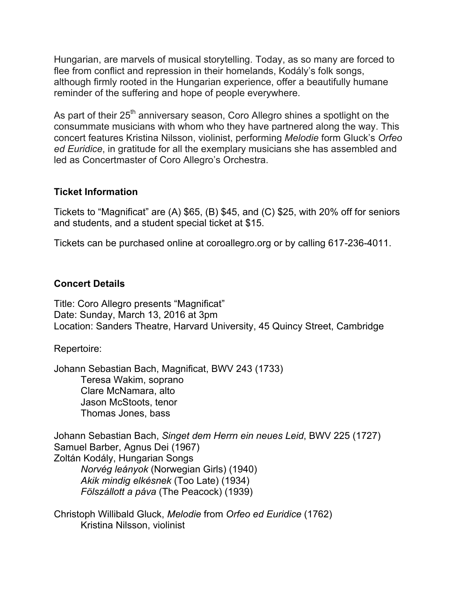Hungarian, are marvels of musical storytelling. Today, as so many are forced to flee from conflict and repression in their homelands, Kodály's folk songs, although firmly rooted in the Hungarian experience, offer a beautifully humane reminder of the suffering and hope of people everywhere.

As part of their  $25<sup>th</sup>$  anniversary season, Coro Allegro shines a spotlight on the consummate musicians with whom who they have partnered along the way. This concert features Kristina Nilsson, violinist, performing *Melodie* form Gluck's *Orfeo ed Euridice*, in gratitude for all the exemplary musicians she has assembled and led as Concertmaster of Coro Allegro's Orchestra.

# **Ticket Information**

Tickets to "Magnificat" are (A) \$65, (B) \$45, and (C) \$25, with 20% off for seniors and students, and a student special ticket at \$15.

Tickets can be purchased online at coroallegro.org or by calling 617-236-4011.

# **Concert Details**

Title: Coro Allegro presents "Magnificat" Date: Sunday, March 13, 2016 at 3pm Location: Sanders Theatre, Harvard University, 45 Quincy Street, Cambridge

Repertoire:

Johann Sebastian Bach, Magnificat, BWV 243 (1733) Teresa Wakim, soprano Clare McNamara, alto Jason McStoots, tenor Thomas Jones, bass

Johann Sebastian Bach, *Singet dem Herrn ein neues Leid*, BWV 225 (1727) Samuel Barber, Agnus Dei (1967) Zoltán Kodály, Hungarian Songs *Norvég leányok* (Norwegian Girls) (1940) *Akik mindig elkésnek* (Too Late) (1934) *Fölszállott a páva* (The Peacock) (1939)

Christoph Willibald Gluck, *Melodie* from *Orfeo ed Euridice* (1762) Kristina Nilsson, violinist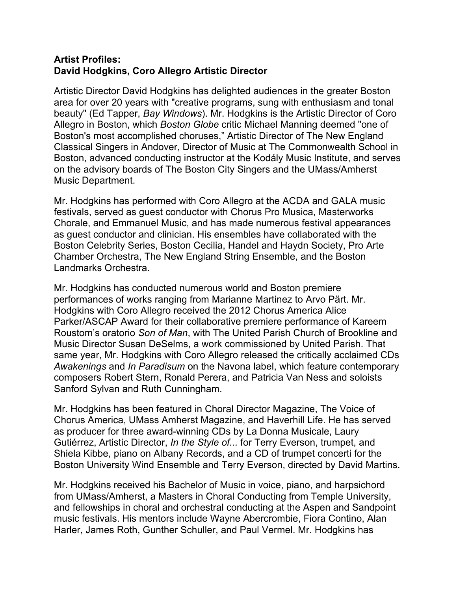# **Artist Profiles: David Hodgkins, Coro Allegro Artistic Director**

Artistic Director David Hodgkins has delighted audiences in the greater Boston area for over 20 years with "creative programs, sung with enthusiasm and tonal beauty" (Ed Tapper, *Bay Windows*). Mr. Hodgkins is the Artistic Director of Coro Allegro in Boston, which *Boston Globe* critic Michael Manning deemed "one of Boston's most accomplished choruses," Artistic Director of The New England Classical Singers in Andover, Director of Music at The Commonwealth School in Boston, advanced conducting instructor at the Kodály Music Institute, and serves on the advisory boards of The Boston City Singers and the UMass/Amherst Music Department.

Mr. Hodgkins has performed with Coro Allegro at the ACDA and GALA music festivals, served as guest conductor with Chorus Pro Musica, Masterworks Chorale, and Emmanuel Music, and has made numerous festival appearances as guest conductor and clinician. His ensembles have collaborated with the Boston Celebrity Series, Boston Cecilia, Handel and Haydn Society, Pro Arte Chamber Orchestra, The New England String Ensemble, and the Boston Landmarks Orchestra.

Mr. Hodgkins has conducted numerous world and Boston premiere performances of works ranging from Marianne Martinez to Arvo Pärt. Mr. Hodgkins with Coro Allegro received the 2012 Chorus America Alice Parker/ASCAP Award for their collaborative premiere performance of Kareem Roustom's oratorio *Son of Man*, with The United Parish Church of Brookline and Music Director Susan DeSelms, a work commissioned by United Parish. That same year, Mr. Hodgkins with Coro Allegro released the critically acclaimed CDs *Awakenings* and *In Paradisum* on the Navona label, which feature contemporary composers Robert Stern, Ronald Perera, and Patricia Van Ness and soloists Sanford Sylvan and Ruth Cunningham.

Mr. Hodgkins has been featured in Choral Director Magazine, The Voice of Chorus America, UMass Amherst Magazine, and Haverhill Life. He has served as producer for three award-winning CDs by La Donna Musicale, Laury Gutiérrez, Artistic Director, *In the Style of...* for Terry Everson, trumpet, and Shiela Kibbe, piano on Albany Records, and a CD of trumpet concerti for the Boston University Wind Ensemble and Terry Everson, directed by David Martins.

Mr. Hodgkins received his Bachelor of Music in voice, piano, and harpsichord from UMass/Amherst, a Masters in Choral Conducting from Temple University, and fellowships in choral and orchestral conducting at the Aspen and Sandpoint music festivals. His mentors include Wayne Abercrombie, Fiora Contino, Alan Harler, James Roth, Gunther Schuller, and Paul Vermel. Mr. Hodgkins has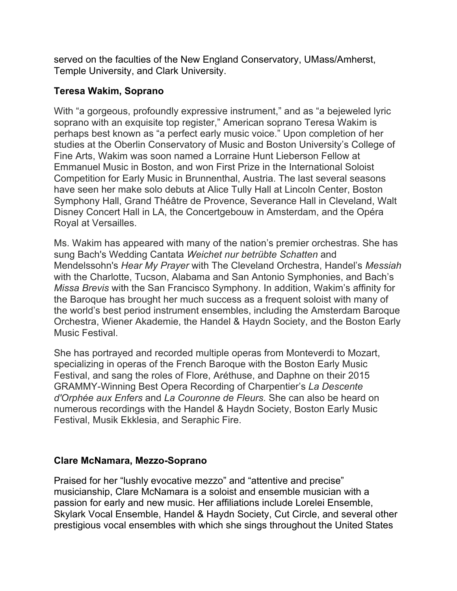served on the faculties of the New England Conservatory, UMass/Amherst, Temple University, and Clark University.

## **Teresa Wakim, Soprano**

With "a gorgeous, profoundly expressive instrument," and as "a bejeweled lyric soprano with an exquisite top register," American soprano Teresa Wakim is perhaps best known as "a perfect early music voice." Upon completion of her studies at the Oberlin Conservatory of Music and Boston University's College of Fine Arts, Wakim was soon named a Lorraine Hunt Lieberson Fellow at Emmanuel Music in Boston, and won First Prize in the International Soloist Competition for Early Music in Brunnenthal, Austria. The last several seasons have seen her make solo debuts at Alice Tully Hall at Lincoln Center, Boston Symphony Hall, Grand Théâtre de Provence, Severance Hall in Cleveland, Walt Disney Concert Hall in LA, the Concertgebouw in Amsterdam, and the Opéra Royal at Versailles.

Ms. Wakim has appeared with many of the nation's premier orchestras. She has sung Bach's Wedding Cantata *Weichet nur betrübte Schatten* and Mendelssohn's *Hear My Prayer* with The Cleveland Orchestra, Handel's *Messiah* with the Charlotte, Tucson, Alabama and San Antonio Symphonies, and Bach's *Missa Brevis* with the San Francisco Symphony. In addition, Wakim's affinity for the Baroque has brought her much success as a frequent soloist with many of the world's best period instrument ensembles, including the Amsterdam Baroque Orchestra, Wiener Akademie, the Handel & Haydn Society, and the Boston Early Music Festival.

She has portrayed and recorded multiple operas from Monteverdi to Mozart, specializing in operas of the French Baroque with the Boston Early Music Festival, and sang the roles of Flore, Aréthuse, and Daphne on their 2015 GRAMMY-Winning Best Opera Recording of Charpentier's *La Descente d'Orphée aux Enfers* and *La Couronne de Fleurs.* She can also be heard on numerous recordings with the Handel & Haydn Society, Boston Early Music Festival, Musik Ekklesia, and Seraphic Fire.

# **Clare McNamara, Mezzo-Soprano**

Praised for her "lushly evocative mezzo" and "attentive and precise" musicianship, Clare McNamara is a soloist and ensemble musician with a passion for early and new music. Her affiliations include Lorelei Ensemble, Skylark Vocal Ensemble, Handel & Haydn Society, Cut Circle, and several other prestigious vocal ensembles with which she sings throughout the United States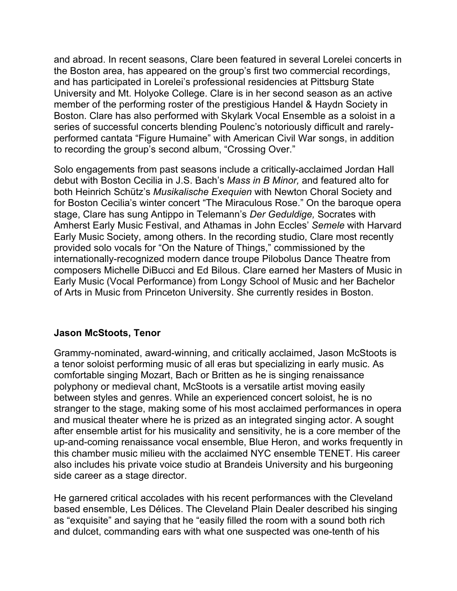and abroad. In recent seasons, Clare been featured in several Lorelei concerts in the Boston area, has appeared on the group's first two commercial recordings, and has participated in Lorelei's professional residencies at Pittsburg State University and Mt. Holyoke College. Clare is in her second season as an active member of the performing roster of the prestigious Handel & Haydn Society in Boston. Clare has also performed with Skylark Vocal Ensemble as a soloist in a series of successful concerts blending Poulenc's notoriously difficult and rarelyperformed cantata "Figure Humaine" with American Civil War songs, in addition to recording the group's second album, "Crossing Over."

Solo engagements from past seasons include a critically-acclaimed Jordan Hall debut with Boston Cecilia in J.S. Bach's *Mass in B Minor,* and featured alto for both Heinrich Schütz's *Musikalische Exequien* with Newton Choral Society and for Boston Cecilia's winter concert "The Miraculous Rose." On the baroque opera stage, Clare has sung Antippo in Telemann's *Der Geduldige,* Socrates with Amherst Early Music Festival, and Athamas in John Eccles' *Semele* with Harvard Early Music Society, among others. In the recording studio, Clare most recently provided solo vocals for "On the Nature of Things," commissioned by the internationally-recognized modern dance troupe Pilobolus Dance Theatre from composers Michelle DiBucci and Ed Bilous. Clare earned her Masters of Music in Early Music (Vocal Performance) from Longy School of Music and her Bachelor of Arts in Music from Princeton University. She currently resides in Boston.

### **Jason McStoots, Tenor**

Grammy-nominated, award-winning, and critically acclaimed, Jason McStoots is a tenor soloist performing music of all eras but specializing in early music. As comfortable singing Mozart, Bach or Britten as he is singing renaissance polyphony or medieval chant, McStoots is a versatile artist moving easily between styles and genres. While an experienced concert soloist, he is no stranger to the stage, making some of his most acclaimed performances in opera and musical theater where he is prized as an integrated singing actor. A sought after ensemble artist for his musicality and sensitivity, he is a core member of the up-and-coming renaissance vocal ensemble, Blue Heron, and works frequently in this chamber music milieu with the acclaimed NYC ensemble TENET. His career also includes his private voice studio at Brandeis University and his burgeoning side career as a stage director.

He garnered critical accolades with his recent performances with the Cleveland based ensemble, Les Délices. The Cleveland Plain Dealer described his singing as "exquisite" and saying that he "easily filled the room with a sound both rich and dulcet, commanding ears with what one suspected was one-tenth of his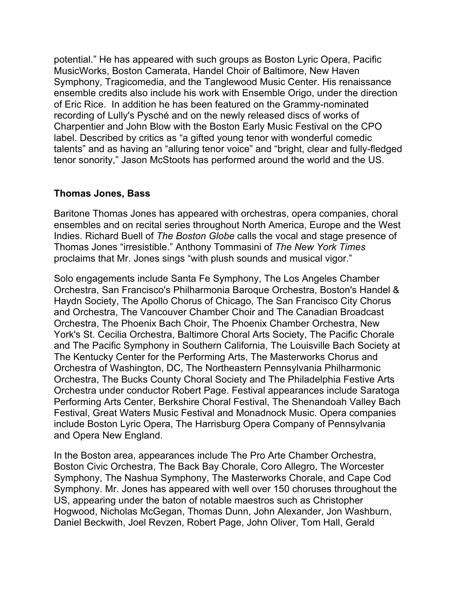potential." He has appeared with such groups as Boston Lyric Opera, Pacific MusicWorks, Boston Camerata, Handel Choir of Baltimore, New Haven Symphony, Tragicomedia, and the Tanglewood Music Center. His renaissance ensemble credits also include his work with Ensemble Origo, under the direction of Eric Rice. In addition he has been featured on the Grammy-nominated recording of Lully's Pysché and on the newly released discs of works of Charpentier and John Blow with the Boston Early Music Festival on the CPO label. Described by critics as "a gifted young tenor with wonderful comedic talents" and as having an "alluring tenor voice" and "bright, clear and fully-fledged tenor sonority," Jason McStoots has performed around the world and the US.

## **Thomas Jones, Bass**

Baritone Thomas Jones has appeared with orchestras, opera companies, choral ensembles and on recital series throughout North America, Europe and the West Indies. Richard Buell of *The Boston Globe* calls the vocal and stage presence of Thomas Jones "irresistible." Anthony Tommasini of *The New York Times* proclaims that Mr. Jones sings "with plush sounds and musical vigor."

Solo engagements include Santa Fe Symphony, The Los Angeles Chamber Orchestra, San Francisco's Philharmonia Baroque Orchestra, Boston's Handel & Haydn Society, The Apollo Chorus of Chicago, The San Francisco City Chorus and Orchestra, The Vancouver Chamber Choir and The Canadian Broadcast Orchestra, The Phoenix Bach Choir, The Phoenix Chamber Orchestra, New York's St. Cecilia Orchestra, Baltimore Choral Arts Society, The Pacific Chorale and The Pacific Symphony in Southern California, The Louisville Bach Society at The Kentucky Center for the Performing Arts, The Masterworks Chorus and Orchestra of Washington, DC, The Northeastern Pennsylvania Philharmonic Orchestra, The Bucks County Choral Society and The Philadelphia Festive Arts Orchestra under conductor Robert Page. Festival appearances include Saratoga Performing Arts Center, Berkshire Choral Festival, The Shenandoah Valley Bach Festival, Great Waters Music Festival and Monadnock Music. Opera companies include Boston Lyric Opera, The Harrisburg Opera Company of Pennsylvania and Opera New England.

In the Boston area, appearances include The Pro Arte Chamber Orchestra, Boston Civic Orchestra, The Back Bay Chorale, Coro Allegro, The Worcester Symphony, The Nashua Symphony, The Masterworks Chorale, and Cape Cod Symphony. Mr. Jones has appeared with well over 150 choruses throughout the US, appearing under the baton of notable maestros such as Christopher Hogwood, Nicholas McGegan, Thomas Dunn, John Alexander, Jon Washburn, Daniel Beckwith, Joel Revzen, Robert Page, John Oliver, Tom Hall, Gerald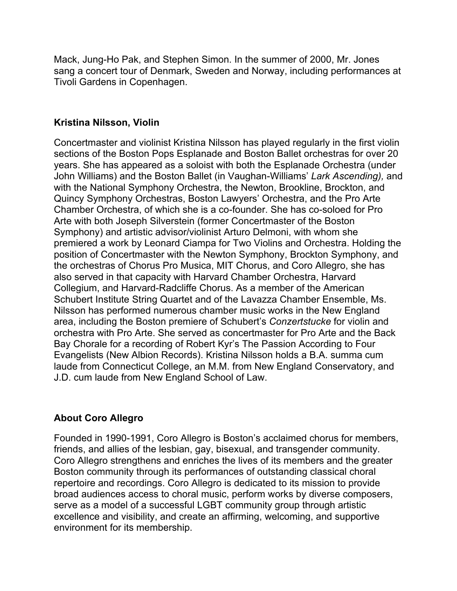Mack, Jung-Ho Pak, and Stephen Simon. In the summer of 2000, Mr. Jones sang a concert tour of Denmark, Sweden and Norway, including performances at Tivoli Gardens in Copenhagen.

## **Kristina Nilsson, Violin**

Concertmaster and violinist Kristina Nilsson has played regularly in the first violin sections of the Boston Pops Esplanade and Boston Ballet orchestras for over 20 years. She has appeared as a soloist with both the Esplanade Orchestra (under John Williams) and the Boston Ballet (in Vaughan-Williams' *Lark Ascending),* and with the National Symphony Orchestra, the Newton, Brookline, Brockton, and Quincy Symphony Orchestras, Boston Lawyers' Orchestra, and the Pro Arte Chamber Orchestra, of which she is a co-founder. She has co-soloed for Pro Arte with both Joseph Silverstein (former Concertmaster of the Boston Symphony) and artistic advisor/violinist Arturo Delmoni, with whom she premiered a work by Leonard Ciampa for Two Violins and Orchestra. Holding the position of Concertmaster with the Newton Symphony, Brockton Symphony, and the orchestras of Chorus Pro Musica, MIT Chorus, and Coro Allegro, she has also served in that capacity with Harvard Chamber Orchestra, Harvard Collegium, and Harvard-Radcliffe Chorus. As a member of the American Schubert Institute String Quartet and of the Lavazza Chamber Ensemble, Ms. Nilsson has performed numerous chamber music works in the New England area, including the Boston premiere of Schubert's *Conzertstucke* for violin and orchestra with Pro Arte. She served as concertmaster for Pro Arte and the Back Bay Chorale for a recording of Robert Kyr's The Passion According to Four Evangelists (New Albion Records). Kristina Nilsson holds a B.A. summa cum laude from Connecticut College, an M.M. from New England Conservatory, and J.D. cum laude from New England School of Law.

# **About Coro Allegro**

Founded in 1990-1991, Coro Allegro is Boston's acclaimed chorus for members, friends, and allies of the lesbian, gay, bisexual, and transgender community. Coro Allegro strengthens and enriches the lives of its members and the greater Boston community through its performances of outstanding classical choral repertoire and recordings. Coro Allegro is dedicated to its mission to provide broad audiences access to choral music, perform works by diverse composers, serve as a model of a successful LGBT community group through artistic excellence and visibility, and create an affirming, welcoming, and supportive environment for its membership.